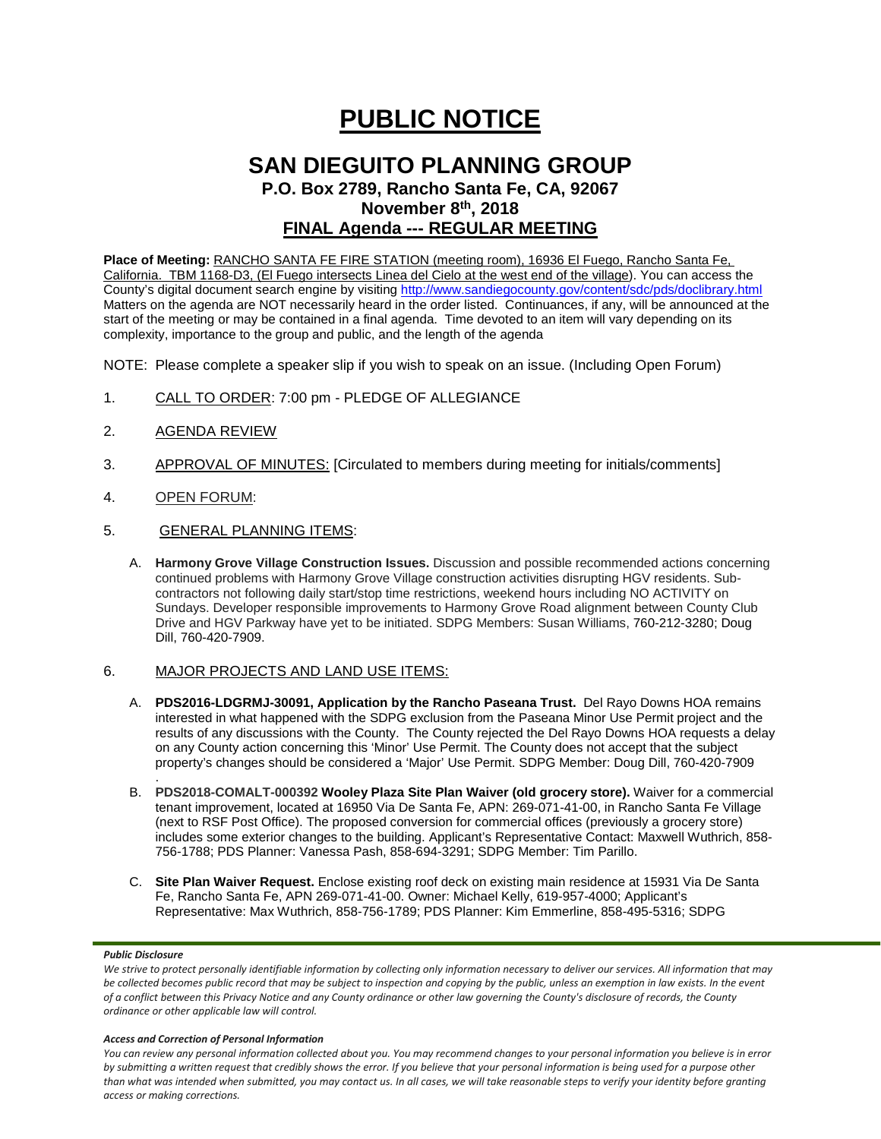# **PUBLIC NOTICE**

### **SAN DIEGUITO PLANNING GROUP P.O. Box 2789, Rancho Santa Fe, CA, 92067**

**November 8th, 2018**

## **FINAL Agenda --- REGULAR MEETING**

**Place of Meeting:** RANCHO SANTA FE FIRE STATION (meeting room), 16936 El Fuego, Rancho Santa Fe, California. TBM 1168-D3, (El Fuego intersects Linea del Cielo at the west end of the village). You can access the County's digital document search engine by visitin[g http://www.sandiegocounty.gov/content/sdc/pds/doclibrary.html](http://www.sandiegocounty.gov/content/sdc/pds/doclibrary.html) Matters on the agenda are NOT necessarily heard in the order listed. Continuances, if any, will be announced at the start of the meeting or may be contained in a final agenda. Time devoted to an item will vary depending on its complexity, importance to the group and public, and the length of the agenda

NOTE: Please complete a speaker slip if you wish to speak on an issue. (Including Open Forum)

- 1. CALL TO ORDER: 7:00 pm PLEDGE OF ALLEGIANCE
- 2. AGENDA REVIEW
- 3. APPROVAL OF MINUTES: [Circulated to members during meeting for initials/comments]
- 4. OPEN FORUM:
- 5. GENERAL PLANNING ITEMS:
	- A. **Harmony Grove Village Construction Issues.** Discussion and possible recommended actions concerning continued problems with Harmony Grove Village construction activities disrupting HGV residents. Subcontractors not following daily start/stop time restrictions, weekend hours including NO ACTIVITY on Sundays. Developer responsible improvements to Harmony Grove Road alignment between County Club Drive and HGV Parkway have yet to be initiated. SDPG Members: Susan Williams, 760-212-3280; Doug Dill, 760-420-7909.

#### 6. MAJOR PROJECTS AND LAND USE ITEMS:

- A. **PDS2016-LDGRMJ-30091, Application by the Rancho Paseana Trust.** Del Rayo Downs HOA remains interested in what happened with the SDPG exclusion from the Paseana Minor Use Permit project and the results of any discussions with the County. The County rejected the Del Rayo Downs HOA requests a delay on any County action concerning this 'Minor' Use Permit. The County does not accept that the subject property's changes should be considered a 'Major' Use Permit. SDPG Member: Doug Dill, 760-420-7909
- . B. **PDS2018-COMALT-000392 Wooley Plaza Site Plan Waiver (old grocery store).** Waiver for a commercial tenant improvement, located at 16950 Via De Santa Fe, APN: 269-071-41-00, in Rancho Santa Fe Village (next to RSF Post Office). The proposed conversion for commercial offices (previously a grocery store) includes some exterior changes to the building. Applicant's Representative Contact: Maxwell Wuthrich, 858- 756-1788; PDS Planner: Vanessa Pash, 858-694-3291; SDPG Member: Tim Parillo.
- C. **Site Plan Waiver Request.** Enclose existing roof deck on existing main residence at 15931 Via De Santa Fe, Rancho Santa Fe, APN 269-071-41-00. Owner: Michael Kelly, 619-957-4000; Applicant's Representative: Max Wuthrich, 858-756-1789; PDS Planner: Kim Emmerline, 858-495-5316; SDPG

#### *Public Disclosure*

#### *Access and Correction of Personal Information*

*You can review any personal information collected about you. You may recommend changes to your personal information you believe is in error by submitting a written request that credibly shows the error. If you believe that your personal information is being used for a purpose other than what was intended when submitted, you may contact us. In all cases, we will take reasonable steps to verify your identity before granting access or making corrections.*

We strive to protect personally identifiable information by collecting only information necessary to deliver our services. All information that may *be collected becomes public record that may be subject to inspection and copying by the public, unless an exemption in law exists. In the event of a conflict between this Privacy Notice and any County ordinance or other law governing the County's disclosure of records, the County ordinance or other applicable law will control.*